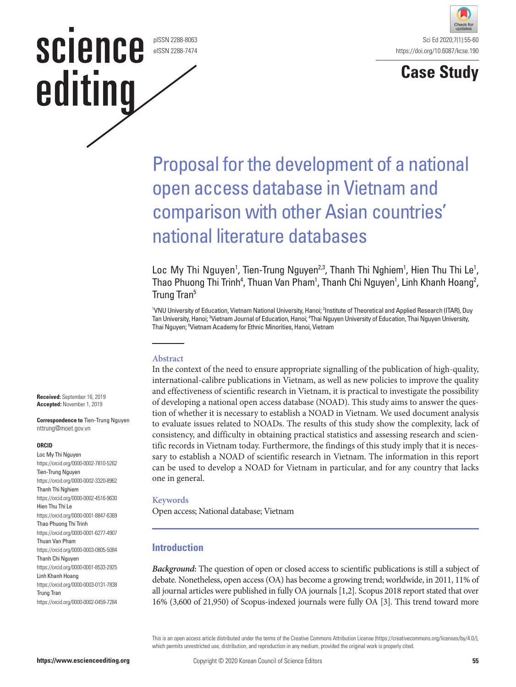pISSN 2288-8063 eISSN 2288-7474





# Proposal for the development of a national open access database in Vietnam and comparison with other Asian countries' national literature databases

Loc My Thi Nguyen<sup>1</sup>, Tien-Trung Nguyen<sup>2,3</sup>, Thanh Thi Nghiem<sup>1</sup>, Hien Thu Thi Le<sup>1</sup>, Thao Phuong Thi Trinh<sup>4</sup>, Thuan Van Pham<sup>1</sup>, Thanh Chi Nguyen<sup>1</sup>, Linh Khanh Hoang<sup>2</sup>, Trung Tran<sup>5</sup>

<sup>1</sup>VNU University of Education, Vietnam National University, Hanoi; <sup>2</sup>Institute of Theoretical and Applied Research (ITAR), Duy Tan University, Hanoi; <sup>3</sup>Vietnam Journal of Education, Hanoi; <sup>4</sup>Thai Nguyen University of Education, Thai Nguyen University, Thai Nguyen; <sup>5</sup>Vietnam Academy for Ethnic Minorities, Hanoi, Vietnam

#### **Abstract**

In the context of the need to ensure appropriate signalling of the publication of high-quality, international-calibre publications in Vietnam, as well as new policies to improve the quality and effectiveness of scientific research in Vietnam, it is practical to investigate the possibility of developing a national open access database (NOAD). This study aims to answer the question of whether it is necessary to establish a NOAD in Vietnam. We used document analysis to evaluate issues related to NOADs. The results of this study show the complexity, lack of consistency, and difficulty in obtaining practical statistics and assessing research and scientific records in Vietnam today. Furthermore, the findings of this study imply that it is necessary to establish a NOAD of scientific research in Vietnam. The information in this report can be used to develop a NOAD for Vietnam in particular, and for any country that lacks one in general.

#### **Keywords**

Open access; National database; Vietnam

#### **Introduction**

*Background***:** The question of open or closed access to scientific publications is still a subject of debate. Nonetheless, open access (OA) has become a growing trend; worldwide, in 2011, 11% of all journal articles were published in fully OA journals [1,2]. Scopus 2018 report stated that over 16% (3,600 of 21,950) of Scopus-indexed journals were fully OA [3]. This trend toward more

This is an open access article distributed under the terms of the Creative Commons Attribution License (https://creativecommons.org/licenses/by/4.0/), which permits unrestricted use, distribution, and reproduction in any medium, provided the original work is properly cited.

**Received:** September 16, 2019 **Accepted:** November 1, 2019

**Correspondence to** Tien-Trung Nguyen nttrung@moet.gov.vn

**science** 

editing

#### **ORCID**

Loc My Thi Nguyen https://orcid.org/0000-0002-7810-5262 Tien-Trung Nguyen https://orcid.org/0000-0002-3320-8962 Thanh Thi Nghiem https://orcid.org/0000-0002-4516-9630 Hien Thu Thi Le https://orcid.org/0000-0001-8847-6369 Thao Phuong Thi Trinh https://orcid.org/0000-0001-6277-4907 Thuan Van Pham https://orcid.org/0000-0003-0805-5084 Thanh Chi Nguyen https://orcid.org/0000-0001-8533-2925 Linh Khanh Hoang https://orcid.org/0000-0003-0131-7838 Trung Tran https://orcid.org/0000-0002-0459-7284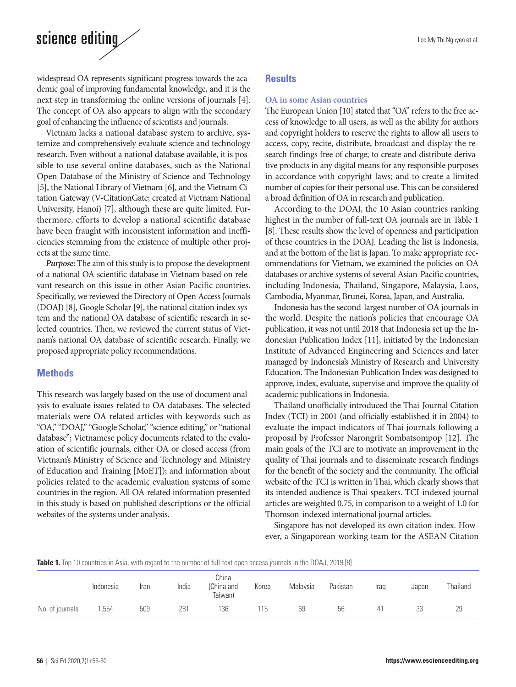widespread OA represents significant progress towards the academic goal of improving fundamental knowledge, and it is the next step in transforming the online versions of journals [4]. The concept of OA also appears to align with the secondary goal of enhancing the influence of scientists and journals.

Vietnam lacks a national database system to archive, systemize and comprehensively evaluate science and technology research. Even without a national database available, it is possible to use several online databases, such as the National Open Database of the Ministry of Science and Technology [5], the National Library of Vietnam [6], and the Vietnam Citation Gateway (V-CitationGate; created at Vietnam National University, Hanoi) [7], although these are quite limited. Furthermore, efforts to develop a national scientific database have been fraught with inconsistent information and inefficiencies stemming from the existence of multiple other projects at the same time.

*Purpose***:** The aim of this study is to propose the development of a national OA scientific database in Vietnam based on relevant research on this issue in other Asian-Pacific countries. Specifically, we reviewed the Directory of Open Access Journals (DOAJ) [8], Google Scholar [9], the national citation index system and the national OA database of scientific research in selected countries. Then, we reviewed the current status of Vietnam's national OA database of scientific research. Finally, we proposed appropriate policy recommendations.

## **Methods**

This research was largely based on the use of document analysis to evaluate issues related to OA databases. The selected materials were OA-related articles with keywords such as "OA," "DOAJ," "Google Scholar," "science editing," or "national database"; Vietnamese policy documents related to the evaluation of scientific journals, either OA or closed access (from Vietnam's Ministry of Science and Technology and Ministry of Education and Training [MoET]); and information about policies related to the academic evaluation systems of some countries in the region. All OA-related information presented in this study is based on published descriptions or the official websites of the systems under analysis.

## **Results**

#### **OA in some Asian countries**

The European Union [10] stated that "OA" refers to the free access of knowledge to all users, as well as the ability for authors and copyright holders to reserve the rights to allow all users to access, copy, recite, distribute, broadcast and display the research findings free of charge; to create and distribute derivative products in any digital means for any responsible purposes in accordance with copyright laws; and to create a limited number of copies for their personal use. This can be considered a broad definition of OA in research and publication.

According to the DOAJ, the 10 Asian countries ranking highest in the number of full-text OA journals are in Table 1 [8]. These results show the level of openness and participation of these countries in the DOAJ. Leading the list is Indonesia, and at the bottom of the list is Japan. To make appropriate recommendations for Vietnam, we examined the policies on OA databases or archive systems of several Asian-Pacific countries, including Indonesia, Thailand, Singapore, Malaysia, Laos, Cambodia, Myanmar, Brunei, Korea, Japan, and Australia.

Indonesia has the second-largest number of OA journals in the world. Despite the nation's policies that encourage OA publication, it was not until 2018 that Indonesia set up the Indonesian Publication Index [11], initiated by the Indonesian Institute of Advanced Engineering and Sciences and later managed by Indonesia's Ministry of Research and University Education. The Indonesian Publication Index was designed to approve, index, evaluate, supervise and improve the quality of academic publications in Indonesia.

Thailand unofficially introduced the Thai-Journal Citation Index (TCI) in 2001 (and officially established it in 2004) to evaluate the impact indicators of Thai journals following a proposal by Professor Narongrit Sombatsompop [12]. The main goals of the TCI are to motivate an improvement in the quality of Thai journals and to disseminate research findings for the benefit of the society and the community. The official website of the TCI is written in Thai, which clearly shows that its intended audience is Thai speakers. TCI-indexed journal articles are weighted 0.75, in comparison to a weight of 1.0 for Thomson-indexed international journal articles.

Singapore has not developed its own citation index. However, a Singaporean working team for the ASEAN Citation

**Table 1.** Top 10 countries in Asia, with regard to the number of full-text open access journals in the DOAJ, 2019 [8]

|                 | Indonesia | Iran | India | China<br>(China and<br>Taiwan) | Korea | Malavsia | Pakistan | Iraq | Japan    | Thailand |
|-----------------|-----------|------|-------|--------------------------------|-------|----------|----------|------|----------|----------|
| No. of journals | ,554      | 509  | 281   | 136                            | 15    | 69       | 56       | 41   | nr<br>UU | 29       |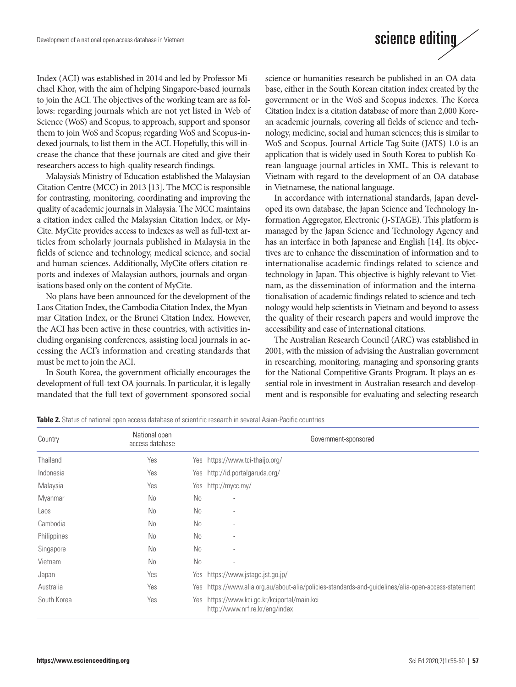Index (ACI) was established in 2014 and led by Professor Michael Khor, with the aim of helping Singapore-based journals to join the ACI. The objectives of the working team are as follows: regarding journals which are not yet listed in Web of Science (WoS) and Scopus, to approach, support and sponsor them to join WoS and Scopus; regarding WoS and Scopus-indexed journals, to list them in the ACI. Hopefully, this will increase the chance that these journals are cited and give their researchers access to high-quality research findings.

Malaysia's Ministry of Education established the Malaysian Citation Centre (MCC) in 2013 [13]. The MCC is responsible for contrasting, monitoring, coordinating and improving the quality of academic journals in Malaysia. The MCC maintains a citation index called the Malaysian Citation Index, or My-Cite. MyCite provides access to indexes as well as full-text articles from scholarly journals published in Malaysia in the fields of science and technology, medical science, and social and human sciences. Additionally, MyCite offers citation reports and indexes of Malaysian authors, journals and organisations based only on the content of MyCite.

No plans have been announced for the development of the Laos Citation Index, the Cambodia Citation Index, the Myanmar Citation Index, or the Brunei Citation Index. However, the ACI has been active in these countries, with activities including organising conferences, assisting local journals in accessing the ACI's information and creating standards that must be met to join the ACI.

In South Korea, the government officially encourages the development of full-text OA journals. In particular, it is legally mandated that the full text of government-sponsored social science or humanities research be published in an OA database, either in the South Korean citation index created by the government or in the WoS and Scopus indexes. The Korea Citation Index is a citation database of more than 2,000 Korean academic journals, covering all fields of science and technology, medicine, social and human sciences; this is similar to WoS and Scopus. Journal Article Tag Suite (JATS) 1.0 is an application that is widely used in South Korea to publish Korean-language journal articles in XML. This is relevant to Vietnam with regard to the development of an OA database in Vietnamese, the national language.

In accordance with international standards, Japan developed its own database, the Japan Science and Technology Information Aggregator, Electronic (J-STAGE). This platform is managed by the Japan Science and Technology Agency and has an interface in both Japanese and English [14]. Its objectives are to enhance the dissemination of information and to internationalise academic findings related to science and technology in Japan. This objective is highly relevant to Vietnam, as the dissemination of information and the internationalisation of academic findings related to science and technology would help scientists in Vietnam and beyond to assess the quality of their research papers and would improve the accessibility and ease of international citations.

The Australian Research Council (ARC) was established in 2001, with the mission of advising the Australian government in researching, monitoring, managing and sponsoring grants for the National Competitive Grants Program. It plays an essential role in investment in Australian research and development and is responsible for evaluating and selecting research

**Table 2.** Status of national open access database of scientific research in several Asian-Pacific countries

| Country     | National open<br>access database |                | Government-sponsored                                                                                |
|-------------|----------------------------------|----------------|-----------------------------------------------------------------------------------------------------|
| Thailand    | Yes                              |                | Yes https://www.tci-thaijo.org/                                                                     |
| Indonesia   | Yes                              |                | Yes http://id.portalgaruda.org/                                                                     |
| Malaysia    | Yes                              |                | Yes http://mycc.my/                                                                                 |
| Myanmar     | No                               | N <sub>0</sub> | ٠                                                                                                   |
| Laos        | No                               | N <sub>0</sub> | $\overline{\phantom{a}}$                                                                            |
| Cambodia    | No                               | No             | $\overline{\phantom{a}}$                                                                            |
| Philippines | No                               | N <sub>0</sub> |                                                                                                     |
| Singapore   | No                               | N <sub>0</sub> | $\overline{a}$                                                                                      |
| Vietnam     | No                               | N <sub>0</sub> | $\overline{\phantom{a}}$                                                                            |
| Japan       | Yes                              |                | Yes https://www.jstage.jst.go.jp/                                                                   |
| Australia   | Yes                              |                | Yes https://www.alia.org.au/about-alia/policies-standards-and-guidelines/alia-open-access-statement |
| South Korea | Yes                              |                | Yes https://www.kci.go.kr/kciportal/main.kci<br>http://www.nrf.re.kr/eng/index                      |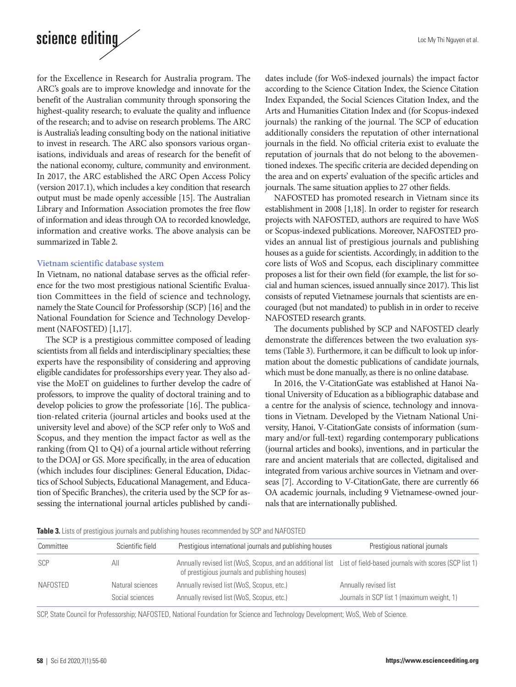for the Excellence in Research for Australia program. The ARC's goals are to improve knowledge and innovate for the benefit of the Australian community through sponsoring the highest-quality research; to evaluate the quality and influence of the research; and to advise on research problems. The ARC is Australia's leading consulting body on the national initiative to invest in research. The ARC also sponsors various organisations, individuals and areas of research for the benefit of the national economy, culture, community and environment. In 2017, the ARC established the ARC Open Access Policy (version 2017.1), which includes a key condition that research output must be made openly accessible [15]. The Australian Library and Information Association promotes the free flow of information and ideas through OA to recorded knowledge, information and creative works. The above analysis can be summarized in Table 2.

#### **Vietnam scientific database system**

In Vietnam, no national database serves as the official reference for the two most prestigious national Scientific Evaluation Committees in the field of science and technology, namely the State Council for Professorship (SCP) [16] and the National Foundation for Science and Technology Development (NAFOSTED) [1,17].

The SCP is a prestigious committee composed of leading scientists from all fields and interdisciplinary specialties; these experts have the responsibility of considering and approving eligible candidates for professorships every year. They also advise the MoET on guidelines to further develop the cadre of professors, to improve the quality of doctoral training and to develop policies to grow the professoriate [16]. The publication-related criteria (journal articles and books used at the university level and above) of the SCP refer only to WoS and Scopus, and they mention the impact factor as well as the ranking (from Q1 to Q4) of a journal article without referring to the DOAJ or GS. More specifically, in the area of education (which includes four disciplines: General Education, Didactics of School Subjects, Educational Management, and Education of Specific Branches), the criteria used by the SCP for assessing the international journal articles published by candidates include (for WoS-indexed journals) the impact factor according to the Science Citation Index, the Science Citation Index Expanded, the Social Sciences Citation Index, and the Arts and Humanities Citation Index and (for Scopus-indexed journals) the ranking of the journal. The SCP of education additionally considers the reputation of other international journals in the field. No official criteria exist to evaluate the reputation of journals that do not belong to the abovementioned indexes. The specific criteria are decided depending on the area and on experts' evaluation of the specific articles and journals. The same situation applies to 27 other fields.

NAFOSTED has promoted research in Vietnam since its establishment in 2008 [1,18]. In order to register for research projects with NAFOSTED, authors are required to have WoS or Scopus-indexed publications. Moreover, NAFOSTED provides an annual list of prestigious journals and publishing houses as a guide for scientists. Accordingly, in addition to the core lists of WoS and Scopus, each disciplinary committee proposes a list for their own field (for example, the list for social and human sciences, issued annually since 2017). This list consists of reputed Vietnamese journals that scientists are encouraged (but not mandated) to publish in in order to receive NAFOSTED research grants.

The documents published by SCP and NAFOSTED clearly demonstrate the differences between the two evaluation systems (Table 3). Furthermore, it can be difficult to look up information about the domestic publications of candidate journals, which must be done manually, as there is no online database.

In 2016, the V-CitationGate was established at Hanoi National University of Education as a bibliographic database and a centre for the analysis of science, technology and innovations in Vietnam. Developed by the Vietnam National University, Hanoi, V-CitationGate consists of information (summary and/or full-text) regarding contemporary publications (journal articles and books), inventions, and in particular the rare and ancient materials that are collected, digitalised and integrated from various archive sources in Vietnam and overseas [7]. According to V-CitationGate, there are currently 66 OA academic journals, including 9 Vietnamese-owned journals that are internationally published.

**Table 3.** Lists of prestigious journals and publishing houses recommended by SCP and NAFOSTED

| Committee | Scientific field | Prestigious international journals and publishing houses                                                                                                           | Prestigious national journals              |
|-----------|------------------|--------------------------------------------------------------------------------------------------------------------------------------------------------------------|--------------------------------------------|
| SCP       | All              | Annually revised list (WoS, Scopus, and an additional list List of field-based journals with scores (SCP list 1)<br>of prestigious journals and publishing houses) |                                            |
| NAFOSTED  | Natural sciences | Annually revised list (WoS, Scopus, etc.)                                                                                                                          | Annually revised list                      |
|           | Social sciences  | Annually revised list (WoS, Scopus, etc.)                                                                                                                          | Journals in SCP list 1 (maximum weight, 1) |

SCP, State Council for Professorship; NAFOSTED, National Foundation for Science and Technology Development; WoS, Web of Science.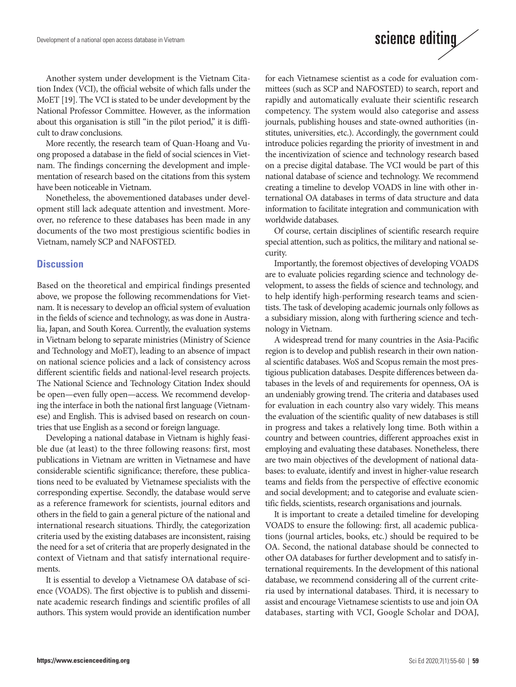Another system under development is the Vietnam Citation Index (VCI), the official website of which falls under the MoET [19]. The VCI is stated to be under development by the National Professor Committee. However, as the information about this organisation is still "in the pilot period," it is difficult to draw conclusions.

More recently, the research team of Quan-Hoang and Vuong proposed a database in the field of social sciences in Vietnam. The findings concerning the development and implementation of research based on the citations from this system have been noticeable in Vietnam.

Nonetheless, the abovementioned databases under development still lack adequate attention and investment. Moreover, no reference to these databases has been made in any documents of the two most prestigious scientific bodies in Vietnam, namely SCP and NAFOSTED.

#### **Discussion**

Based on the theoretical and empirical findings presented above, we propose the following recommendations for Vietnam. It is necessary to develop an official system of evaluation in the fields of science and technology, as was done in Australia, Japan, and South Korea. Currently, the evaluation systems in Vietnam belong to separate ministries (Ministry of Science and Technology and MoET), leading to an absence of impact on national science policies and a lack of consistency across different scientific fields and national-level research projects. The National Science and Technology Citation Index should be open—even fully open—access. We recommend developing the interface in both the national first language (Vietnamese) and English. This is advised based on research on countries that use English as a second or foreign language.

Developing a national database in Vietnam is highly feasible due (at least) to the three following reasons: first, most publications in Vietnam are written in Vietnamese and have considerable scientific significance; therefore, these publications need to be evaluated by Vietnamese specialists with the corresponding expertise. Secondly, the database would serve as a reference framework for scientists, journal editors and others in the field to gain a general picture of the national and international research situations. Thirdly, the categorization criteria used by the existing databases are inconsistent, raising the need for a set of criteria that are properly designated in the context of Vietnam and that satisfy international requirements.

It is essential to develop a Vietnamese OA database of science (VOADS). The first objective is to publish and disseminate academic research findings and scientific profiles of all authors. This system would provide an identification number

for each Vietnamese scientist as a code for evaluation committees (such as SCP and NAFOSTED) to search, report and rapidly and automatically evaluate their scientific research competency. The system would also categorise and assess journals, publishing houses and state-owned authorities (institutes, universities, etc.). Accordingly, the government could introduce policies regarding the priority of investment in and the incentivization of science and technology research based on a precise digital database. The VCI would be part of this national database of science and technology. We recommend creating a timeline to develop VOADS in line with other international OA databases in terms of data structure and data information to facilitate integration and communication with worldwide databases.

science editing

Of course, certain disciplines of scientific research require special attention, such as politics, the military and national security.

Importantly, the foremost objectives of developing VOADS are to evaluate policies regarding science and technology development, to assess the fields of science and technology, and to help identify high-performing research teams and scientists. The task of developing academic journals only follows as a subsidiary mission, along with furthering science and technology in Vietnam.

A widespread trend for many countries in the Asia-Pacific region is to develop and publish research in their own national scientific databases. WoS and Scopus remain the most prestigious publication databases. Despite differences between databases in the levels of and requirements for openness, OA is an undeniably growing trend. The criteria and databases used for evaluation in each country also vary widely. This means the evaluation of the scientific quality of new databases is still in progress and takes a relatively long time. Both within a country and between countries, different approaches exist in employing and evaluating these databases. Nonetheless, there are two main objectives of the development of national databases: to evaluate, identify and invest in higher-value research teams and fields from the perspective of effective economic and social development; and to categorise and evaluate scientific fields, scientists, research organisations and journals.

It is important to create a detailed timeline for developing VOADS to ensure the following: first, all academic publications (journal articles, books, etc.) should be required to be OA. Second, the national database should be connected to other OA databases for further development and to satisfy international requirements. In the development of this national database, we recommend considering all of the current criteria used by international databases. Third, it is necessary to assist and encourage Vietnamese scientists to use and join OA databases, starting with VCI, Google Scholar and DOAJ,